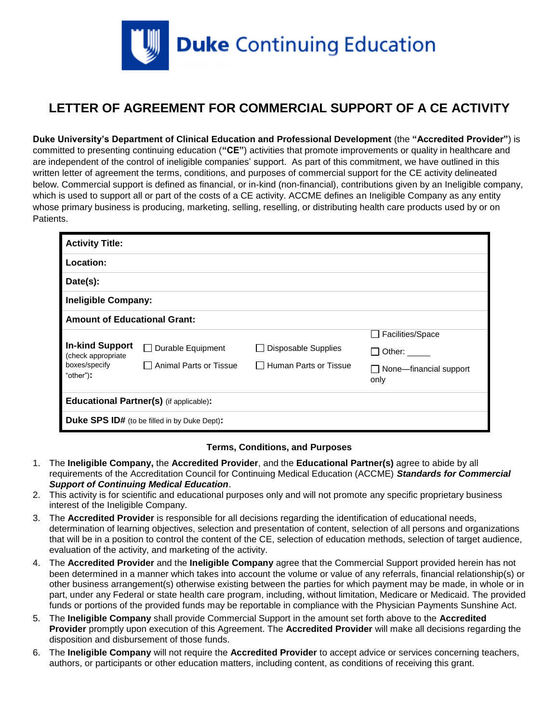

## **LETTER OF AGREEMENT FOR COMMERCIAL SUPPORT OF A CE ACTIVITY**

**Duke University's Department of Clinical Education and Professional Development** (the **"Accredited Provider"**) is committed to presenting continuing education (**"CE"**) activities that promote improvements or quality in healthcare and are independent of the control of ineligible companies' support. As part of this commitment, we have outlined in this written letter of agreement the terms, conditions, and purposes of commercial support for the CE activity delineated below. Commercial support is defined as financial, or in-kind (non-financial), contributions given by an Ineligible company, which is used to support all or part of the costs of a CE activity. ACCME defines an Ineligible Company as any entity whose primary business is producing, marketing, selling, reselling, or distributing health care products used by or on Patients.

| <b>Activity Title:</b>                                                      |                          |                            |                                           |  |  |  |
|-----------------------------------------------------------------------------|--------------------------|----------------------------|-------------------------------------------|--|--|--|
| Location:                                                                   |                          |                            |                                           |  |  |  |
| Date(s):                                                                    |                          |                            |                                           |  |  |  |
| <b>Ineligible Company:</b>                                                  |                          |                            |                                           |  |  |  |
| <b>Amount of Educational Grant:</b>                                         |                          |                            |                                           |  |  |  |
|                                                                             |                          |                            | <b>Facilities/Space</b><br>$\blacksquare$ |  |  |  |
| <b>In-kind Support</b><br>(check appropriate)<br>boxes/specify<br>"other"): | $\Box$ Durable Equipment | <b>Disposable Supplies</b> | Other: $\_\_$                             |  |  |  |
|                                                                             | □ Animal Parts or Tissue | □ Human Parts or Tissue    | $\Box$ None—financial support<br>only     |  |  |  |
| <b>Educational Partner(s)</b> (if applicable):                              |                          |                            |                                           |  |  |  |
| <b>Duke SPS ID#</b> (to be filled in by Duke Dept):                         |                          |                            |                                           |  |  |  |

## **Terms, Conditions, and Purposes**

- 1. The **Ineligible Company,** the **Accredited Provider**, and the **Educational Partner(s)** agree to abide by all requirements of the Accreditation Council for Continuing Medical Education (ACCME) *Standards for Commercial Support of Continuing Medical Education*.
- 2. This activity is for scientific and educational purposes only and will not promote any specific proprietary business interest of the Ineligible Company.
- 3. The **Accredited Provider** is responsible for all decisions regarding the identification of educational needs, determination of learning objectives, selection and presentation of content, selection of all persons and organizations that will be in a position to control the content of the CE, selection of education methods, selection of target audience, evaluation of the activity, and marketing of the activity.
- 4. The **Accredited Provider** and the **Ineligible Company** agree that the Commercial Support provided herein has not been determined in a manner which takes into account the volume or value of any referrals, financial relationship(s) or other business arrangement(s) otherwise existing between the parties for which payment may be made, in whole or in part, under any Federal or state health care program, including, without limitation, Medicare or Medicaid. The provided funds or portions of the provided funds may be reportable in compliance with the Physician Payments Sunshine Act.
- 5. The **Ineligible Company** shall provide Commercial Support in the amount set forth above to the **Accredited Provider** promptly upon execution of this Agreement. The **Accredited Provider** will make all decisions regarding the disposition and disbursement of those funds.
- 6. The **Ineligible Company** will not require the **Accredited Provider** to accept advice or services concerning teachers, authors, or participants or other education matters, including content, as conditions of receiving this grant.